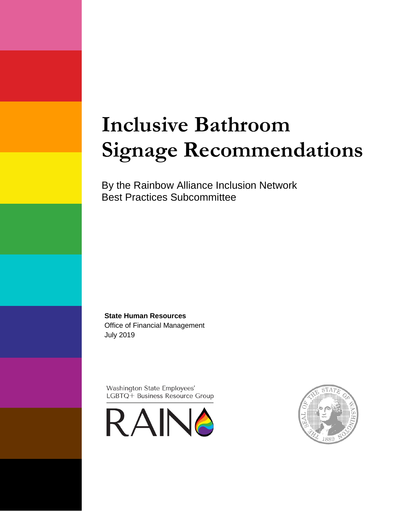# **Inclusive Bathroom Signage Recommendations**

By the Rainbow Alliance Inclusion Network Best Practices Subcommittee

**State Human Resources**  Office of Financial Management July 2019

Washington State Employees' LGBTQ+ Business Resource Group



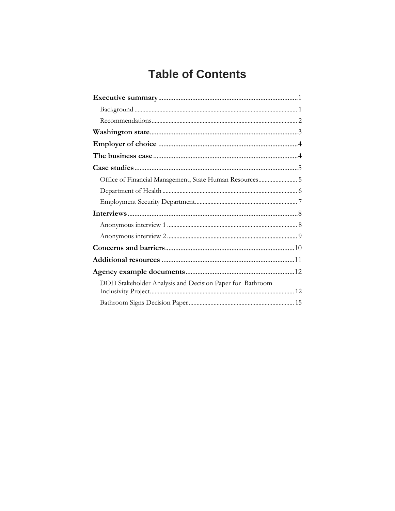# **Table of Contents**

| Office of Financial Management, State Human Resources 5  |  |
|----------------------------------------------------------|--|
|                                                          |  |
|                                                          |  |
|                                                          |  |
|                                                          |  |
|                                                          |  |
|                                                          |  |
|                                                          |  |
|                                                          |  |
| DOH Stakeholder Analysis and Decision Paper for Bathroom |  |
|                                                          |  |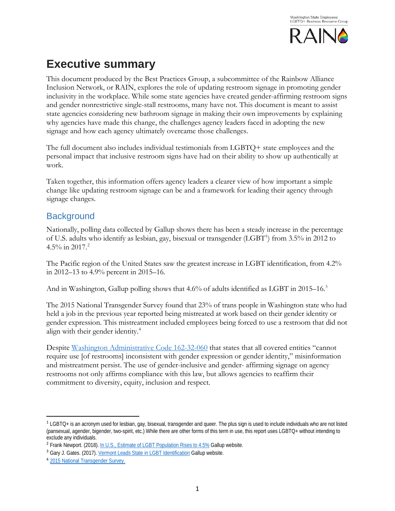

# <span id="page-2-0"></span>**Executive summary**

This document produced by the Best Practices Group, a subcommittee of the Rainbow Alliance Inclusion Network, or RAIN, explores the role of updating restroom signage in promoting gender inclusivity in the workplace. While some state agencies have created gender-affirming restroom signs and gender nonrestrictive single-stall restrooms, many have not. This document is meant to assist state agencies considering new bathroom signage in making their own improvements by explaining why agencies have made this change, the challenges agency leaders faced in adopting the new signage and how each agency ultimately overcame those challenges.

The full document also includes individual testimonials from LGBTQ+ state employees and the personal impact that inclusive restroom signs have had on their ability to show up authentically at work.

Taken together, this information offers agency leaders a clearer view of how important a simple change like updating restroom signage can be and a framework for leading their agency through signage changes.

### <span id="page-2-1"></span>**Background**

Nationally, polling data collected by Gallup shows there has been a steady increase in the percentage of U.S. adults who identify as lesbian, gay, bisexual or transgender (LGBT<sup>[1](#page-2-2)</sup>) from 3.5% in 2012 to  $4.5\%$  in [2](#page-2-3)017.<sup>2</sup>

The Pacific region of the United States saw the greatest increase in LGBT identification, from 4.2% in 2012–13 to 4.9% percent in 2015–16.

And in Washington, Gallup polling shows that 4.6% of adults identified as LGBT in 2015–16.<sup>[3](#page-2-4)</sup>

The 2015 National Transgender Survey found that 23% of trans people in Washington state who had held a job in the previous year reported being mistreated at work based on their gender identity or gender expression. This mistreatment included employees being forced to use a restroom that did not align with their gender identity.[4](#page-2-5)

Despite [Washington Administrative Code 162-32-060](https://app.leg.wa.gov/wac/default.aspx?cite=162-32-060) that states that all covered entities "cannot require use [of restrooms] inconsistent with gender expression or gender identity," misinformation and mistreatment persist. The use of gender-inclusive and gender- affirming signage on agency restrooms not only affirms compliance with this law, but allows agencies to reaffirm their commitment to diversity, equity, inclusion and respect.

<span id="page-2-2"></span> <sup>1</sup> LGBTQ+ is an acronym used for lesbian, gay, bisexual, transgender and queer. The plus sign is used to include individuals who are not listed (pansexual, agender, bigender, two-spirit, etc.) While there are other forms of this term in use, this report uses LGBTQ+ without intending to exclude any individuals.

<span id="page-2-3"></span><sup>2</sup> Frank Newport. (2018)[. In U.S., Estimate of LGBT Population Rises to 4.5%](https://news.gallup.com/poll/234863/estimate-lgbt-population-rises.aspx?g_source=link_NEWSV9&g_medium=TOPIC&g_campaign=item_&g_content=In%2520U.S.%2c%2520Estimate%2520of%2520LGBT%2520Population%2520Rises%2520to%25204.5%2525) Gallup website.

<span id="page-2-4"></span><sup>&</sup>lt;sup>3</sup> Gary J. Gates. (2017)[. Vermont Leads State in LGBT Identification](https://news.gallup.com/poll/203513/vermont-leads-states-lgbt-identification.aspx?g_source=link_NEWSV9&g_medium=TOPIC&g_campaign=item_&g_content=Vermont%2520Leads%2520States%2520in%2520LGBT%2520Identification) Gallup website.

<span id="page-2-5"></span><sup>4</sup> [2015 National Transgender Survey.](http://www.transequality.org/sites/default/files/docs/usts/USTSWAStateReport%281017%29.pdf)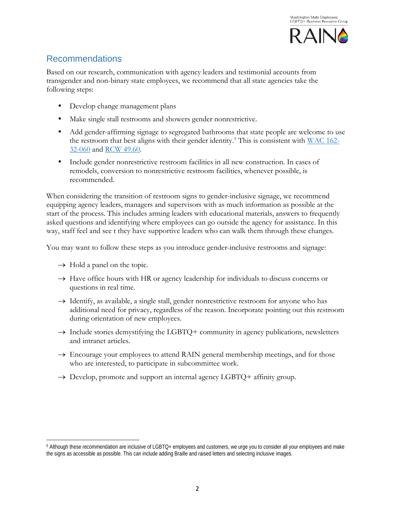

### <span id="page-3-0"></span>Recommendations

Based on our research, communication with agency leaders and testimonial accounts from transgender and non-binary state employees, we recommend that all state agencies take the following steps:

- Develop change management plans
- Make single stall restrooms and showers gender nonrestrictive.
- Add gender-affirming signage to segregated bathrooms that state people are welcome to use the restroom that best aligns with their gender identity.<sup>[5](#page-3-1)</sup> This is consistent with WAC  $162$ -[32-060](https://app.leg.wa.gov/wac/default.aspx?cite=162-32-060) and [RCW](http://apps.leg.wa.gov/rcw/default.aspx?cite=49.60) 49.60.
- Include gender nonrestrictive restroom facilities in all new construction. In cases of remodels, conversion to nonrestrictive restroom facilities, whenever possible, is recommended.

When considering the transition of restroom signs to gender-inclusive signage, we recommend equipping agency leaders, managers and supervisors with as much information as possible at the start of the process. This includes arming leaders with educational materials, answers to frequently asked questions and identifying where employees can go outside the agency for assistance. In this way, staff feel and see t they have supportive leaders who can walk them through these changes.

You may want to follow these steps as you introduce gender-inclusive restrooms and signage:

 $\rightarrow$  Hold a panel on the topic.

 $\overline{a}$ 

- $\rightarrow$  Have office hours with HR or agency leadership for individuals to discuss concerns or questions in real time.
- $\rightarrow$  Identify, as available, a single stall, gender nonrestrictive restroom for anyone who has additional need for privacy, regardless of the reason. Incorporate pointing out this restroom during orientation of new employees.
- $\rightarrow$  Include stories demystifying the LGBTQ+ community in agency publications, newsletters and intranet articles.
- → Encourage your employees to attend RAIN general membership meetings, and for those who are interested, to participate in subcommittee work.
- $\rightarrow$  Develop, promote and support an internal agency LGBTQ+ affinity group.

<span id="page-3-1"></span><sup>5</sup> Although these recommendation are inclusive of LGBTQ+ employees and customers, we urge you to consider all your employees and make the signs as accessible as possible. This can include adding Braille and raised letters and selecting inclusive images.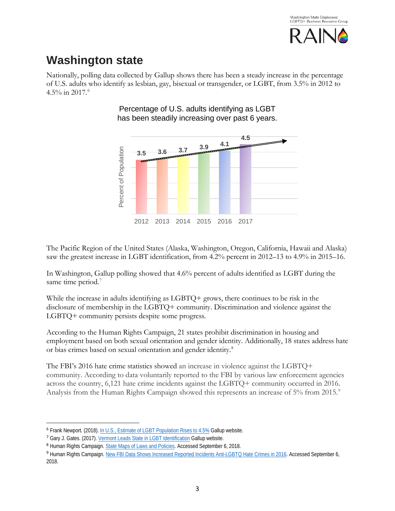

# <span id="page-4-0"></span>**Washington state**

Nationally, polling data collected by Gallup shows there has been a steady increase in the percentage of U.S. adults who identify as lesbian, gay, bisexual or transgender, or LGBT, from 3.5% in 2012 to 4.5% in 2017.[6](#page-4-1)



#### Percentage of U.S. adults identifying as LGBT has been steadily increasing over past 6 years.

The Pacific Region of the United States (Alaska, Washington, Oregon, California, Hawaii and Alaska) saw the greatest increase in LGBT identification, from 4.2% percent in 2012–13 to 4.9% in 2015–16.

In Washington, Gallup polling showed that 4.6% percent of adults identified as LGBT during the same time period.<sup>[7](#page-4-2)</sup>

While the increase in adults identifying as LGBTQ+ grows, there continues to be risk in the disclosure of membership in the LGBTQ+ community. Discrimination and violence against the LGBTQ+ community persists despite some progress.

According to the Human Rights Campaign, 21 states prohibit discrimination in housing and employment based on both sexual orientation and gender identity. Additionally, 18 states address hate or bias crimes based on sexual orientation and gender identity.[8](#page-4-3)

The FBI's 2016 hate crime statistics showed an increase in violence against the LGBTQ+ community. According to data voluntarily reported to the FBI by various law enforcement agencies across the country, 6,121 hate crime incidents against the LGBTQ+ community occurred in 2016. Analysis from the Human Rights Campaign showed this represents an increase of 5% from 2015.<sup>[9](#page-4-4)</sup>

<span id="page-4-1"></span><sup>&</sup>lt;sup>6</sup> Frank Newport. (2018)[. In U.S., Estimate of LGBT Population Rises to 4.5%](https://news.gallup.com/poll/234863/estimate-lgbt-population-rises.aspx?g_source=link_NEWSV9&g_medium=TOPIC&g_campaign=item_&g_content=In%2520U.S.%2c%2520Estimate%2520of%2520LGBT%2520Population%2520Rises%2520to%25204.5%2525) Gallup website.

<span id="page-4-2"></span><sup>7</sup> Gary J. Gates. (2017)[. Vermont Leads State in LGBT Identification](https://news.gallup.com/poll/203513/vermont-leads-states-lgbt-identification.aspx?g_source=link_NEWSV9&g_medium=TOPIC&g_campaign=item_&g_content=Vermont%2520Leads%2520States%2520in%2520LGBT%2520Identification) Gallup website.

<span id="page-4-3"></span><sup>8</sup> Human Rights Campaign. [State Maps of Laws and Policies.](http://www.hrc.org/state-maps/hate-crimes) Accessed September 6, 2018.

<span id="page-4-4"></span><sup>9</sup> Human Rights Campaign. [New FBI Data Shows Increased Reported Incidents Anti-LGBTQ Hate Crimes in 2016.](https://www.hrc.org/blog/new-fbi-data-shows-increased-reported-incidents-of-anti-lgbtq-hate-crimes-i) Accessed September 6, 2018.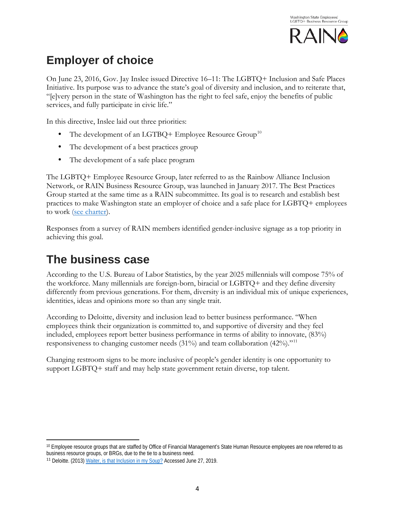

# <span id="page-5-0"></span>**Employer of choice**

On June 23, 2016, Gov. Jay Inslee issued Directive 16–11: The LGBTQ+ Inclusion and Safe Places Initiative. Its purpose was to advance the state's goal of diversity and inclusion, and to reiterate that, "[e]very person in the state of Washington has the right to feel safe, enjoy the benefits of public services, and fully participate in civic life."

In this directive, Inslee laid out three priorities:

- The development of an LGTBQ+ Employee Resource  $Group^{10}$  $Group^{10}$  $Group^{10}$
- The development of a best practices group
- The development of a safe place program

The LGBTQ+ Employee Resource Group, later referred to as the Rainbow Alliance Inclusion Network, or RAIN Business Resource Group, was launched in January 2017. The Best Practices Group started at the same time as a RAIN subcommittee. Its goal is to research and establish best practices to make Washington state an employer of choice and a safe place for LGBTQ+ employees to work [\(see charter\)](http://sp.des.wa.gov/ofm/sthr/lgbtq/Best%20Practices%20Documents/RAIN_Best_Practices_Charter.docx).

Responses from a survey of RAIN members identified gender-inclusive signage as a top priority in achieving this goal.

# <span id="page-5-1"></span>**The business case**

According to the U.S. Bureau of Labor Statistics, by the year 2025 millennials will compose 75% of the workforce. Many millennials are foreign-born, biracial or LGBTQ+ and they define diversity differently from previous generations. For them, diversity is an individual mix of unique experiences, identities, ideas and opinions more so than any single trait.

According to Deloitte, diversity and inclusion lead to better business performance. "When employees think their organization is committed to, and supportive of diversity and they feel included, employees report better business performance in terms of ability to innovate, (83%) responsiveness to changing customer needs  $(31\%)$  and team collaboration  $(42\%)$ ."<sup>[11](#page-5-3)</sup>

Changing restroom signs to be more inclusive of people's gender identity is one opportunity to support LGBTQ+ staff and may help state government retain diverse, top talent.

<span id="page-5-2"></span>l <sup>10</sup> Employee resource groups that are staffed by Office of Financial Management's State Human Resource employees are now referred to as business resource groups, or BRGs, due to the tie to a business need.

<span id="page-5-3"></span><sup>&</sup>lt;sup>11</sup> Deloitte. (2013[\) Waiter, is that Inclusion in my Soup?](https://www2.deloitte.com/content/dam/Deloitte/au/Documents/human-capital/deloitte-au-hc-diversity-inclusion-soup-0513.pdf) Accessed June 27, 2019.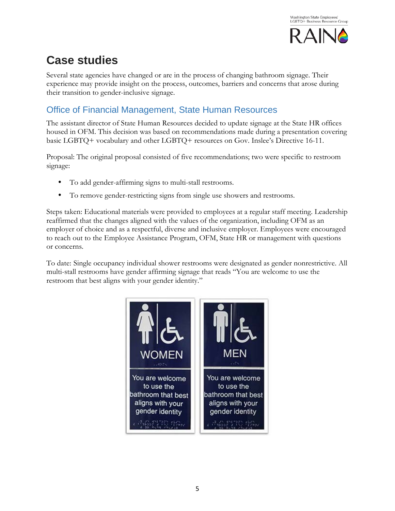

# <span id="page-6-0"></span>**Case studies**

Several state agencies have changed or are in the process of changing bathroom signage. Their experience may provide insight on the process, outcomes, barriers and concerns that arose during their transition to gender-inclusive signage.

# <span id="page-6-1"></span>Office of Financial Management, State Human Resources

The assistant director of State Human Resources decided to update signage at the State HR offices housed in OFM. This decision was based on recommendations made during a presentation covering basic LGBTQ+ vocabulary and other LGBTQ+ resources on Gov. Inslee's Directive 16-11.

Proposal: The original proposal consisted of five recommendations; two were specific to restroom signage:

- To add gender-affirming signs to multi-stall restrooms.
- To remove gender-restricting signs from single use showers and restrooms.

Steps taken: Educational materials were provided to employees at a regular staff meeting. Leadership reaffirmed that the changes aligned with the values of the organization, including OFM as an employer of choice and as a respectful, diverse and inclusive employer. Employees were encouraged to reach out to the Employee Assistance Program, OFM, State HR or management with questions or concerns.

To date: Single occupancy individual shower restrooms were designated as gender nonrestrictive. All multi-stall restrooms have gender affirming signage that reads "You are welcome to use the restroom that best aligns with your gender identity."

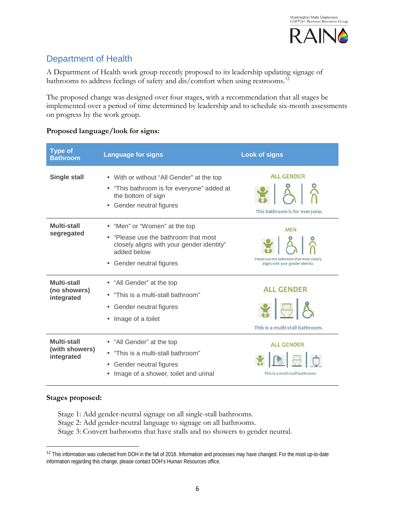

## <span id="page-7-0"></span>Department of Health

A Department of Health work group recently proposed to its leadership updating signage of bathrooms to address feelings of safety and dis/comfort when using restrooms.<sup>[12](#page-7-1)</sup>

The proposed change was designed over four stages, with a recommendation that all stages be implemented over a period of time determined by leadership and to schedule six-month assessments on progress by the work group.

| <b>Type of</b><br><b>Bathroom</b>           | <b>Language for signs</b>                                                                                                                                 | <b>Look of signs</b>                                                                         |
|---------------------------------------------|-----------------------------------------------------------------------------------------------------------------------------------------------------------|----------------------------------------------------------------------------------------------|
| <b>Single stall</b>                         | • With or without "All Gender" at the top<br>• "This bathroom is for everyone" added at<br>the bottom of sign<br>Gender neutral figures                   | <b>ALL GENDER</b><br>888<br>This bathroom is for everyone.                                   |
| Multi-stall<br>segregated                   | • "Men" or "Women" at the top<br>"Please use the bathroom that most<br>closely aligns with your gender identity"<br>added below<br>Gender neutral figures | <b>MEN</b><br>Please use the bathroom that most closely<br>aligns with your gender identity. |
| Multi-stall<br>(no showers)<br>integrated   | • "All Gender" at the top<br>"This is a multi-stall bathroom"<br>$\bullet$<br>• Gender neutral figures<br>• Image of a toilet                             | <b>ALL GENDER</b><br>878<br>This is a multi-stall bathroom.                                  |
| Multi-stall<br>(with showers)<br>integrated | • "All Gender" at the top<br>"This is a multi-stall bathroom"<br>Gender neutral figures<br>$\bullet$<br>Image of a shower, toilet and urinal              | <b>ALL GENDER</b><br>This is a multi-stall bathroom.                                         |

#### **Proposed language/look for signs:**

#### **Stages proposed:**

Stage 1: Add gender-neutral signage on all single-stall bathrooms. Stage 2: Add gender-neutral language to signage on all bathrooms.

Stage 3: Convert bathrooms that have stalls and no showers to gender neutral.

<span id="page-7-1"></span><sup>&</sup>lt;sup>12</sup> This information was collected from DOH in the fall of 2018. Information and processes may have changed. For the most up-to-date information regarding this change, please contact DOH's Human Resources office.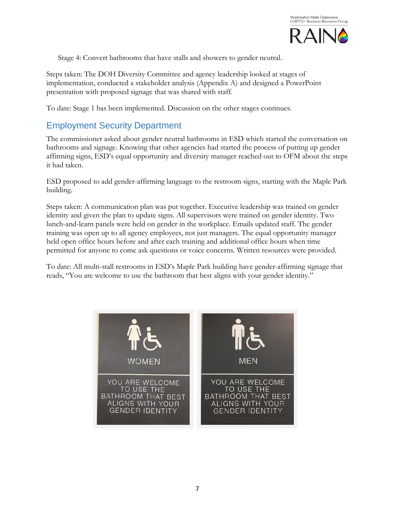

Stage 4: Convert bathrooms that have stalls and showers to gender neutral.

Steps taken: The DOH Diversity Committee and agency leadership looked at stages of implementation, conducted a stakeholder analysis (Appendix A) and designed a PowerPoint presentation with proposed signage that was shared with staff.

To date: Stage 1 has been implemented. Discussion on the other stages continues.

### <span id="page-8-0"></span>Employment Security Department

The commissioner asked about gender neutral bathrooms in ESD which started the conversation on bathrooms and signage. Knowing that other agencies had started the process of putting up gender affirming signs, ESD's equal opportunity and diversity manager reached out to OFM about the steps it had taken.

ESD proposed to add gender-affirming language to the restroom signs, starting with the Maple Park building.

Steps taken: A communication plan was put together. Executive leadership was trained on gender identity and given the plan to update signs. All supervisors were trained on gender identity. Two lunch-and-learn panels were held on gender in the workplace. Emails updated staff. The gender training was open up to all agency employees, not just managers. The equal opportunity manager held open office hours before and after each training and additional office hours when time permitted for anyone to come ask questions or voice concerns. Written resources were provided.

To date: All multi-stall restrooms in ESD's Maple Park building have gender-affirming signage that reads, "You are welcome to use the bathroom that best aligns with your gender identity."

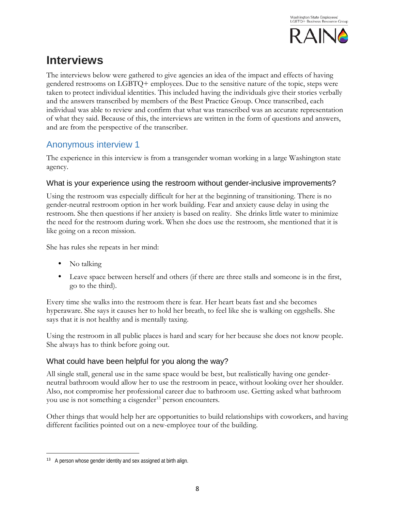

# <span id="page-9-0"></span>**Interviews**

The interviews below were gathered to give agencies an idea of the impact and effects of having gendered restrooms on LGBTQ+ employees. Due to the sensitive nature of the topic, steps were taken to protect individual identities. This included having the individuals give their stories verbally and the answers transcribed by members of the Best Practice Group. Once transcribed, each individual was able to review and confirm that what was transcribed was an accurate representation of what they said. Because of this, the interviews are written in the form of questions and answers, and are from the perspective of the transcriber.

### <span id="page-9-1"></span>Anonymous interview 1

The experience in this interview is from a transgender woman working in a large Washington state agency.

### What is your experience using the restroom without gender-inclusive improvements?

Using the restroom was especially difficult for her at the beginning of transitioning. There is no gender-neutral restroom option in her work building. Fear and anxiety cause delay in using the restroom. She then questions if her anxiety is based on reality. She drinks little water to minimize the need for the restroom during work. When she does use the restroom, she mentioned that it is like going on a recon mission.

She has rules she repeats in her mind:

- No talking
- Leave space between herself and others (if there are three stalls and someone is in the first, go to the third).

Every time she walks into the restroom there is fear. Her heart beats fast and she becomes hyperaware. She says it causes her to hold her breath, to feel like she is walking on eggshells. She says that it is not healthy and is mentally taxing.

Using the restroom in all public places is hard and scary for her because she does not know people. She always has to think before going out.

### What could have been helpful for you along the way?

All single stall, general use in the same space would be best, but realistically having one genderneutral bathroom would allow her to use the restroom in peace, without looking over her shoulder. Also, not compromise her professional career due to bathroom use. Getting asked what bathroom you use is not something a cisgender<sup>[13](#page-9-2)</sup> person encounters.

Other things that would help her are opportunities to build relationships with coworkers, and having different facilities pointed out on a new-employee tour of the building.

<span id="page-9-2"></span><sup>&</sup>lt;sup>13</sup> A person whose gender identity and sex assigned at birth align.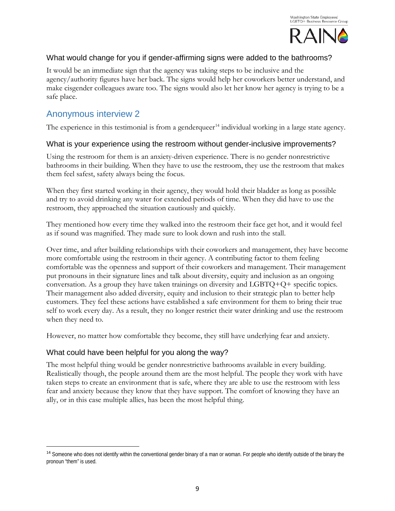

#### What would change for you if gender-affirming signs were added to the bathrooms?

It would be an immediate sign that the agency was taking steps to be inclusive and the agency/authority figures have her back. The signs would help her coworkers better understand, and make cisgender colleagues aware too. The signs would also let her know her agency is trying to be a safe place.

### <span id="page-10-0"></span>Anonymous interview 2

The experience in this testimonial is from a genderqueer<sup>[14](#page-10-1)</sup> individual working in a large state agency.

#### What is your experience using the restroom without gender-inclusive improvements?

Using the restroom for them is an anxiety-driven experience. There is no gender nonrestrictive bathrooms in their building. When they have to use the restroom, they use the restroom that makes them feel safest, safety always being the focus.

When they first started working in their agency, they would hold their bladder as long as possible and try to avoid drinking any water for extended periods of time. When they did have to use the restroom, they approached the situation cautiously and quickly.

They mentioned how every time they walked into the restroom their face get hot, and it would feel as if sound was magnified. They made sure to look down and rush into the stall.

Over time, and after building relationships with their coworkers and management, they have become more comfortable using the restroom in their agency. A contributing factor to them feeling comfortable was the openness and support of their coworkers and management. Their management put pronouns in their signature lines and talk about diversity, equity and inclusion as an ongoing conversation. As a group they have taken trainings on diversity and LGBTQ+Q+ specific topics. Their management also added diversity, equity and inclusion to their strategic plan to better help customers. They feel these actions have established a safe environment for them to bring their true self to work every day. As a result, they no longer restrict their water drinking and use the restroom when they need to.

However, no matter how comfortable they become, they still have underlying fear and anxiety.

#### What could have been helpful for you along the way?

The most helpful thing would be gender nonrestrictive bathrooms available in every building. Realistically though, the people around them are the most helpful. The people they work with have taken steps to create an environment that is safe, where they are able to use the restroom with less fear and anxiety because they know that they have support. The comfort of knowing they have an ally, or in this case multiple allies, has been the most helpful thing.

<span id="page-10-1"></span><sup>&</sup>lt;sup>14</sup> Someone who does not identify within the conventional gender binary of a man or woman. For people who identify outside of the binary the pronoun "them" is used.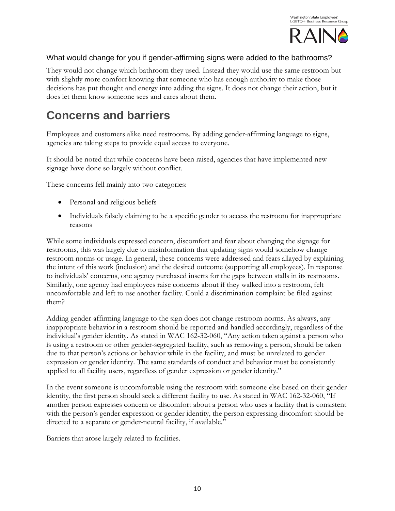

#### What would change for you if gender-affirming signs were added to the bathrooms?

They would not change which bathroom they used. Instead they would use the same restroom but with slightly more comfort knowing that someone who has enough authority to make those decisions has put thought and energy into adding the signs. It does not change their action, but it does let them know someone sees and cares about them.

# <span id="page-11-0"></span>**Concerns and barriers**

Employees and customers alike need restrooms. By adding gender-affirming language to signs, agencies are taking steps to provide equal access to everyone.

It should be noted that while concerns have been raised, agencies that have implemented new signage have done so largely without conflict.

These concerns fell mainly into two categories:

- Personal and religious beliefs
- Individuals falsely claiming to be a specific gender to access the restroom for inappropriate reasons

While some individuals expressed concern, discomfort and fear about changing the signage for restrooms, this was largely due to misinformation that updating signs would somehow change restroom norms or usage. In general, these concerns were addressed and fears allayed by explaining the intent of this work (inclusion) and the desired outcome (supporting all employees). In response to individuals' concerns, one agency purchased inserts for the gaps between stalls in its restrooms. Similarly, one agency had employees raise concerns about if they walked into a restroom, felt uncomfortable and left to use another facility. Could a discrimination complaint be filed against them?

Adding gender-affirming language to the sign does not change restroom norms. As always, any inappropriate behavior in a restroom should be reported and handled accordingly, regardless of the individual's gender identity. As stated in WAC 162-32-060, "Any action taken against a person who is using a restroom or other gender-segregated facility, such as removing a person, should be taken due to that person's actions or behavior while in the facility, and must be unrelated to gender expression or gender identity. The same standards of conduct and behavior must be consistently applied to all facility users, regardless of gender expression or gender identity."

In the event someone is uncomfortable using the restroom with someone else based on their gender identity, the first person should seek a different facility to use. As stated in WAC 162-32-060, "If another person expresses concern or discomfort about a person who uses a facility that is consistent with the person's gender expression or gender identity, the person expressing discomfort should be directed to a separate or gender-neutral facility, if available."

Barriers that arose largely related to facilities.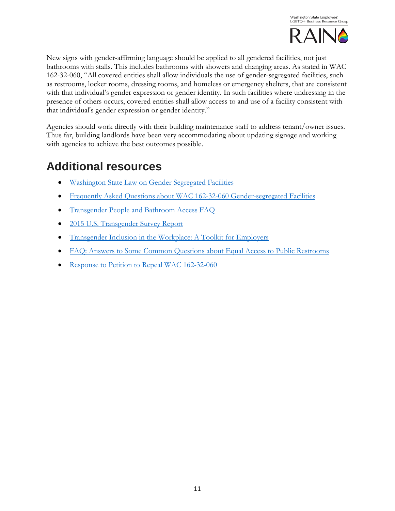

New signs with gender-affirming language should be applied to all gendered facilities, not just bathrooms with stalls. This includes bathrooms with showers and changing areas. As stated in WAC 162-32-060, "All covered entities shall allow individuals the use of gender-segregated facilities, such as restrooms, locker rooms, dressing rooms, and homeless or emergency shelters, that are consistent with that individual's gender expression or gender identity. In such facilities where undressing in the presence of others occurs, covered entities shall allow access to and use of a facility consistent with that individual's gender expression or gender identity."

Agencies should work directly with their building maintenance staff to address tenant/owner issues. Thus far, building landlords have been very accommodating about updating signage and working with agencies to achieve the best outcomes possible.

# <span id="page-12-0"></span>**Additional resources**

- [Washington State Law on Gender Segregated Facilities](https://app.leg.wa.gov/wac/default.aspx?cite=162-32-060)
- [Frequently Asked Questions about WAC 162-32-060 Gender-segregated Facilities](https://www.hum.wa.gov/media/dynamic/files/223_Questions%20and%20Answers%20Regarding%20WAC%20162.pdf)
- [Transgender People and Bathroom Access FAQ](https://transequality.org/issues/resources/transgender-people-and-bathroom-access)
- [2015 U.S. Transgender Survey Report](http://www.ustranssurvey.org/reports)
- [Transgender Inclusion in the Workplace: A Toolkit for](http://www.netwerkrozefnv.nl/wp-content/uploads/2016/10/hrc-assets.s3-website-us-east-1.amazonaws.comfilesassetsresourcesTransgender_Inclusion_in_the_Workplace_A_Toolkit_for_Employers_.pdf) Employers
- [FAQ: Answers to Some Common Questions about Equal Access to](https://www.lambdalegal.org/know-your-rights/article/trans-restroom-faq) Public Restrooms
- [Response to Petition to Repeal WAC 162-32-060](https://www.hum.wa.gov/sites/default/files/public/rule-making/sogi-file/ResponsetoPetition.pdf)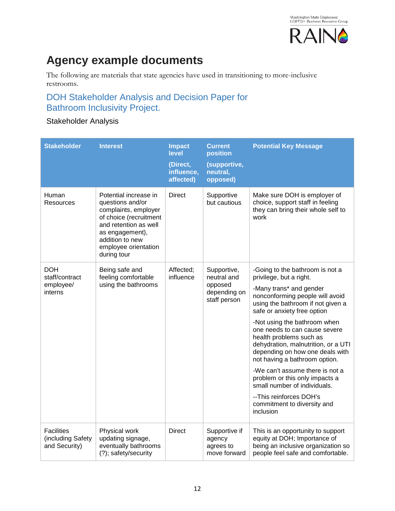

# <span id="page-13-0"></span>**Agency example documents**

The following are materials that state agencies have used in transitioning to more-inclusive restrooms.

## <span id="page-13-1"></span>DOH Stakeholder Analysis and Decision Paper for Bathroom Inclusivity Project.

### Stakeholder Analysis

| <b>Stakeholder</b>                                      | <b>Interest</b>                                                                                                                                                                                   | <b>Impact</b><br>level<br>(Direct,<br>influence,<br>affected) | <b>Current</b><br>position<br>(supportive,<br>neutral,<br>opposed)    | <b>Potential Key Message</b>                                                                                                                                                                                                                                                                                                                                                                                                                                                                                                                                                            |
|---------------------------------------------------------|---------------------------------------------------------------------------------------------------------------------------------------------------------------------------------------------------|---------------------------------------------------------------|-----------------------------------------------------------------------|-----------------------------------------------------------------------------------------------------------------------------------------------------------------------------------------------------------------------------------------------------------------------------------------------------------------------------------------------------------------------------------------------------------------------------------------------------------------------------------------------------------------------------------------------------------------------------------------|
| Human<br>Resources                                      | Potential increase in<br>questions and/or<br>complaints, employer<br>of choice (recruitment<br>and retention as well<br>as engagement),<br>addition to new<br>employee orientation<br>during tour | <b>Direct</b>                                                 | Supportive<br>but cautious                                            | Make sure DOH is employer of<br>choice, support staff in feeling<br>they can bring their whole self to<br>work                                                                                                                                                                                                                                                                                                                                                                                                                                                                          |
| <b>DOH</b><br>staff/contract<br>employee/<br>interns    | Being safe and<br>feeling comfortable<br>using the bathrooms                                                                                                                                      | Affected:<br>influence                                        | Supportive,<br>neutral and<br>opposed<br>depending on<br>staff person | -Going to the bathroom is not a<br>privilege, but a right.<br>-Many trans* and gender<br>nonconforming people will avoid<br>using the bathroom if not given a<br>safe or anxiety free option<br>-Not using the bathroom when<br>one needs to can cause severe<br>health problems such as<br>dehydration, malnutrition, or a UTI<br>depending on how one deals with<br>not having a bathroom option.<br>-We can't assume there is not a<br>problem or this only impacts a<br>small number of individuals.<br>-- This reinforces DOH's<br>commitment to diversity and<br><i>inclusion</i> |
| <b>Facilities</b><br>(including Safety<br>and Security) | Physical work<br>updating signage,<br>eventually bathrooms<br>(?); safety/security                                                                                                                | <b>Direct</b>                                                 | Supportive if<br>agency<br>agrees to<br>move forward                  | This is an opportunity to support<br>equity at DOH; Importance of<br>being an inclusive organization so<br>people feel safe and comfortable.                                                                                                                                                                                                                                                                                                                                                                                                                                            |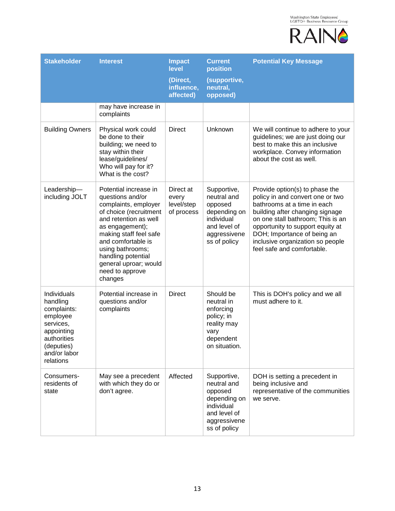

| <b>Stakeholder</b>                                                                                                                      | <b>Interest</b>                                                                                                                                                                                                                                                                          | <b>Impact</b><br>level<br>(Direct,             | <b>Current</b><br>position<br>(supportive,                                                                          | <b>Potential Key Message</b>                                                                                                                                                                                                                                                                                   |
|-----------------------------------------------------------------------------------------------------------------------------------------|------------------------------------------------------------------------------------------------------------------------------------------------------------------------------------------------------------------------------------------------------------------------------------------|------------------------------------------------|---------------------------------------------------------------------------------------------------------------------|----------------------------------------------------------------------------------------------------------------------------------------------------------------------------------------------------------------------------------------------------------------------------------------------------------------|
|                                                                                                                                         |                                                                                                                                                                                                                                                                                          | influence,<br>affected)                        | neutral,<br>opposed)                                                                                                |                                                                                                                                                                                                                                                                                                                |
|                                                                                                                                         | may have increase in<br>complaints                                                                                                                                                                                                                                                       |                                                |                                                                                                                     |                                                                                                                                                                                                                                                                                                                |
| <b>Building Owners</b>                                                                                                                  | Physical work could<br>be done to their<br>building; we need to<br>stay within their<br>lease/guidelines/<br>Who will pay for it?<br>What is the cost?                                                                                                                                   | <b>Direct</b>                                  | Unknown                                                                                                             | We will continue to adhere to your<br>guidelines; we are just doing our<br>best to make this an inclusive<br>workplace. Convey information<br>about the cost as well.                                                                                                                                          |
| Leadership-<br>including JOLT                                                                                                           | Potential increase in<br>questions and/or<br>complaints, employer<br>of choice (recruitment<br>and retention as well<br>as engagement);<br>making staff feel safe<br>and comfortable is<br>using bathrooms;<br>handling potential<br>general uproar; would<br>need to approve<br>changes | Direct at<br>every<br>level/step<br>of process | Supportive,<br>neutral and<br>opposed<br>depending on<br>individual<br>and level of<br>aggressivene<br>ss of policy | Provide option(s) to phase the<br>policy in and convert one or two<br>bathrooms at a time in each<br>building after changing signage<br>on one stall bathroom; This is an<br>opportunity to support equity at<br>DOH; Importance of being an<br>inclusive organization so people<br>feel safe and comfortable. |
| Individuals<br>handling<br>complaints:<br>employee<br>services,<br>appointing<br>authorities<br>(deputies)<br>and/or labor<br>relations | Potential increase in<br>questions and/or<br>complaints                                                                                                                                                                                                                                  | <b>Direct</b>                                  | Should be<br>neutral in<br>enforcing<br>policy; in<br>reality may<br>vary<br>dependent<br>on situation.             | This is DOH's policy and we all<br>must adhere to it.                                                                                                                                                                                                                                                          |
| Consumers-<br>residents of<br>state                                                                                                     | May see a precedent<br>with which they do or<br>don't agree.                                                                                                                                                                                                                             | Affected                                       | Supportive,<br>neutral and<br>opposed<br>depending on<br>individual<br>and level of<br>aggressivene<br>ss of policy | DOH is setting a precedent in<br>being inclusive and<br>representative of the communities<br>we serve.                                                                                                                                                                                                         |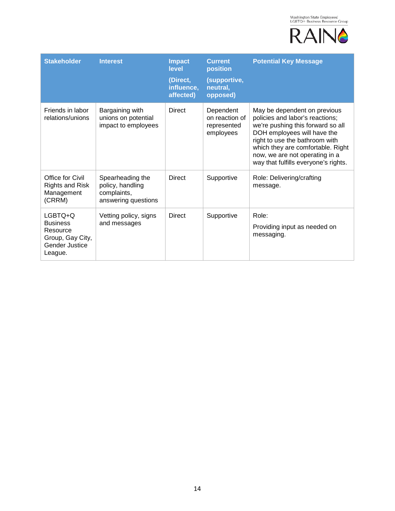

| <b>Stakeholder</b>                                                                             | <b>Interest</b>                                                            | <b>Impact</b><br>level<br>(Direct,<br>influence,<br>affected) | <b>Current</b><br>position<br>(supportive,<br>neutral,<br>opposed) | <b>Potential Key Message</b>                                                                                                                                                                                                                                                         |
|------------------------------------------------------------------------------------------------|----------------------------------------------------------------------------|---------------------------------------------------------------|--------------------------------------------------------------------|--------------------------------------------------------------------------------------------------------------------------------------------------------------------------------------------------------------------------------------------------------------------------------------|
| Friends in labor<br>relations/unions                                                           | Bargaining with<br>unions on potential<br>impact to employees              | <b>Direct</b>                                                 | Dependent<br>on reaction of<br>represented<br>employees            | May be dependent on previous<br>policies and labor's reactions;<br>we're pushing this forward so all<br>DOH employees will have the<br>right to use the bathroom with<br>which they are comfortable. Right<br>now, we are not operating in a<br>way that fulfills everyone's rights. |
| Office for Civil<br><b>Rights and Risk</b><br>Management<br>(CRRM)                             | Spearheading the<br>policy, handling<br>complaints,<br>answering questions | <b>Direct</b>                                                 | Supportive                                                         | Role: Delivering/crafting<br>message.                                                                                                                                                                                                                                                |
| LGBTO+O<br><b>Business</b><br>Resource<br>Group, Gay City,<br><b>Gender Justice</b><br>League. | Vetting policy, signs<br>and messages                                      | <b>Direct</b>                                                 | Supportive                                                         | Role:<br>Providing input as needed on<br>messaging.                                                                                                                                                                                                                                  |